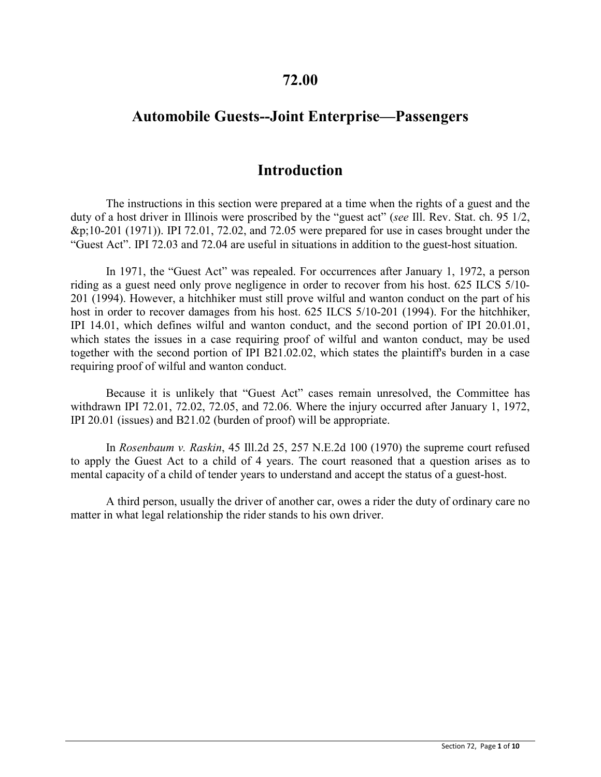## **72.00**

# **Automobile Guests--Joint Enterprise—Passengers**

## **Introduction**

The instructions in this section were prepared at a time when the rights of a guest and the duty of a host driver in Illinois were proscribed by the "guest act" (*see* Ill. Rev. Stat. ch. 95 1/2, &p;10-201 (1971)). IPI 72.01, 72.02, and 72.05 were prepared for use in cases brought under the "Guest Act". IPI 72.03 and 72.04 are useful in situations in addition to the guest-host situation.

In 1971, the "Guest Act" was repealed. For occurrences after January 1, 1972, a person riding as a guest need only prove negligence in order to recover from his host. 625 ILCS 5/10- 201 (1994). However, a hitchhiker must still prove wilful and wanton conduct on the part of his host in order to recover damages from his host. 625 ILCS 5/10-201 (1994). For the hitchhiker, IPI 14.01, which defines wilful and wanton conduct, and the second portion of IPI 20.01.01, which states the issues in a case requiring proof of wilful and wanton conduct, may be used together with the second portion of IPI B21.02.02, which states the plaintiff's burden in a case requiring proof of wilful and wanton conduct.

Because it is unlikely that "Guest Act" cases remain unresolved, the Committee has withdrawn IPI 72.01, 72.02, 72.05, and 72.06. Where the injury occurred after January 1, 1972, IPI 20.01 (issues) and B21.02 (burden of proof) will be appropriate.

In *Rosenbaum v. Raskin*, 45 Ill.2d 25, 257 N.E.2d 100 (1970) the supreme court refused to apply the Guest Act to a child of 4 years. The court reasoned that a question arises as to mental capacity of a child of tender years to understand and accept the status of a guest-host.

A third person, usually the driver of another car, owes a rider the duty of ordinary care no matter in what legal relationship the rider stands to his own driver.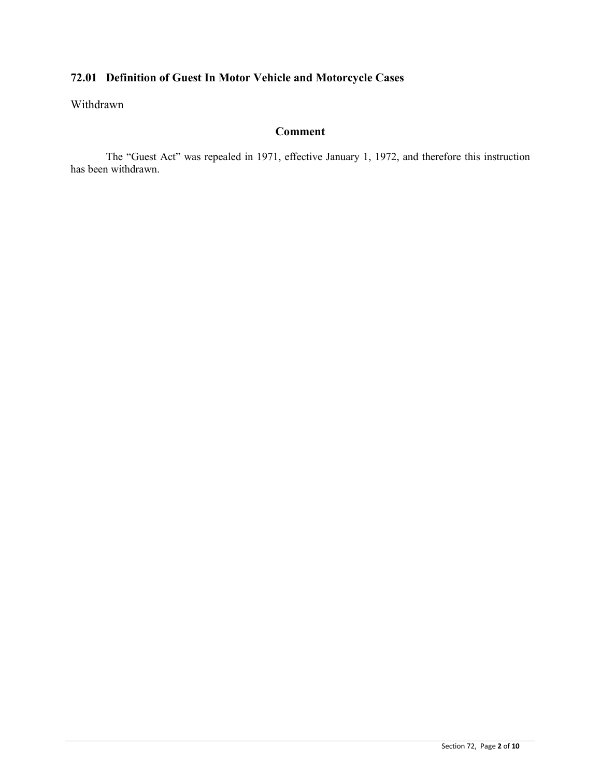# **72.01 Definition of Guest In Motor Vehicle and Motorcycle Cases**

Withdrawn

### **Comment**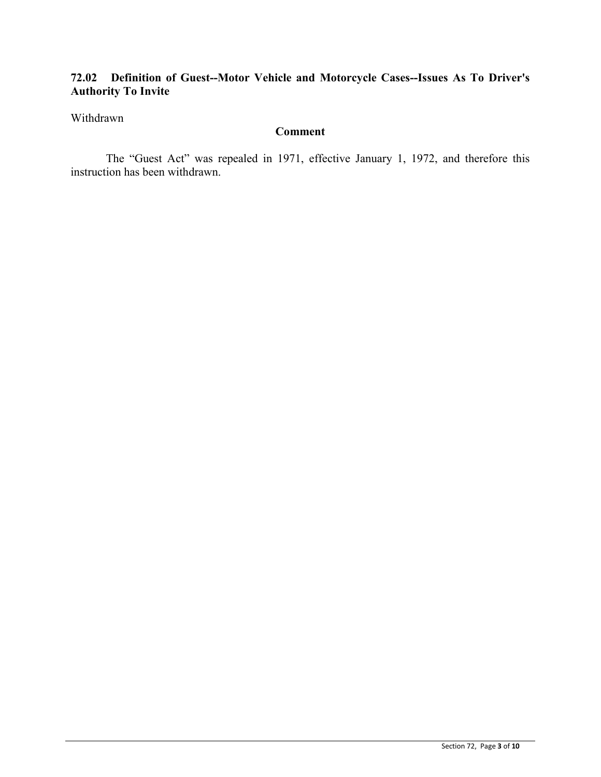### **72.02 Definition of Guest--Motor Vehicle and Motorcycle Cases--Issues As To Driver's Authority To Invite**

#### Withdrawn

### **Comment**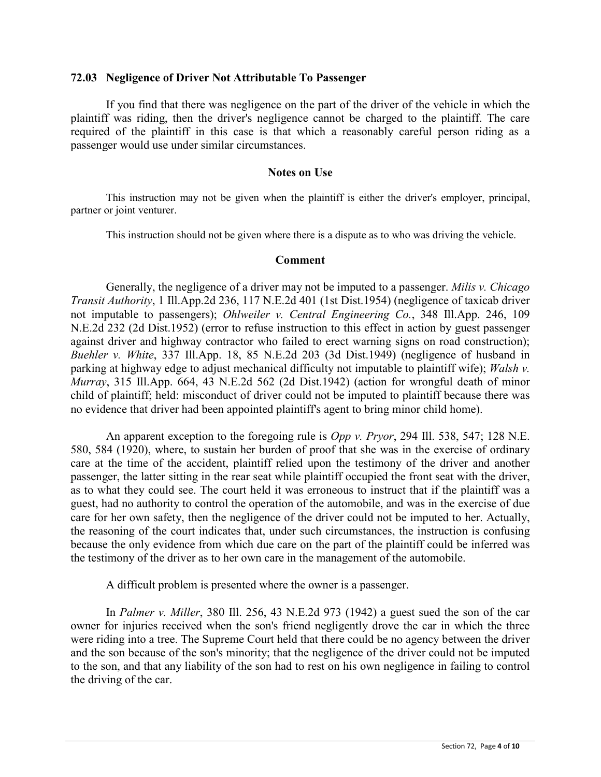#### **72.03 Negligence of Driver Not Attributable To Passenger**

If you find that there was negligence on the part of the driver of the vehicle in which the plaintiff was riding, then the driver's negligence cannot be charged to the plaintiff. The care required of the plaintiff in this case is that which a reasonably careful person riding as a passenger would use under similar circumstances.

#### **Notes on Use**

This instruction may not be given when the plaintiff is either the driver's employer, principal, partner or joint venturer.

This instruction should not be given where there is a dispute as to who was driving the vehicle.

#### **Comment**

Generally, the negligence of a driver may not be imputed to a passenger. *Milis v. Chicago Transit Authority*, 1 Ill.App.2d 236, 117 N.E.2d 401 (1st Dist.1954) (negligence of taxicab driver not imputable to passengers); *Ohlweiler v. Central Engineering Co.*, 348 Ill.App. 246, 109 N.E.2d 232 (2d Dist.1952) (error to refuse instruction to this effect in action by guest passenger against driver and highway contractor who failed to erect warning signs on road construction); *Buehler v. White*, 337 Ill.App. 18, 85 N.E.2d 203 (3d Dist.1949) (negligence of husband in parking at highway edge to adjust mechanical difficulty not imputable to plaintiff wife); *Walsh v. Murray*, 315 Ill.App. 664, 43 N.E.2d 562 (2d Dist.1942) (action for wrongful death of minor child of plaintiff; held: misconduct of driver could not be imputed to plaintiff because there was no evidence that driver had been appointed plaintiff's agent to bring minor child home).

An apparent exception to the foregoing rule is *Opp v. Pryor*, 294 Ill. 538, 547; 128 N.E. 580, 584 (1920), where, to sustain her burden of proof that she was in the exercise of ordinary care at the time of the accident, plaintiff relied upon the testimony of the driver and another passenger, the latter sitting in the rear seat while plaintiff occupied the front seat with the driver, as to what they could see. The court held it was erroneous to instruct that if the plaintiff was a guest, had no authority to control the operation of the automobile, and was in the exercise of due care for her own safety, then the negligence of the driver could not be imputed to her. Actually, the reasoning of the court indicates that, under such circumstances, the instruction is confusing because the only evidence from which due care on the part of the plaintiff could be inferred was the testimony of the driver as to her own care in the management of the automobile.

A difficult problem is presented where the owner is a passenger.

In *Palmer v. Miller*, 380 Ill. 256, 43 N.E.2d 973 (1942) a guest sued the son of the car owner for injuries received when the son's friend negligently drove the car in which the three were riding into a tree. The Supreme Court held that there could be no agency between the driver and the son because of the son's minority; that the negligence of the driver could not be imputed to the son, and that any liability of the son had to rest on his own negligence in failing to control the driving of the car.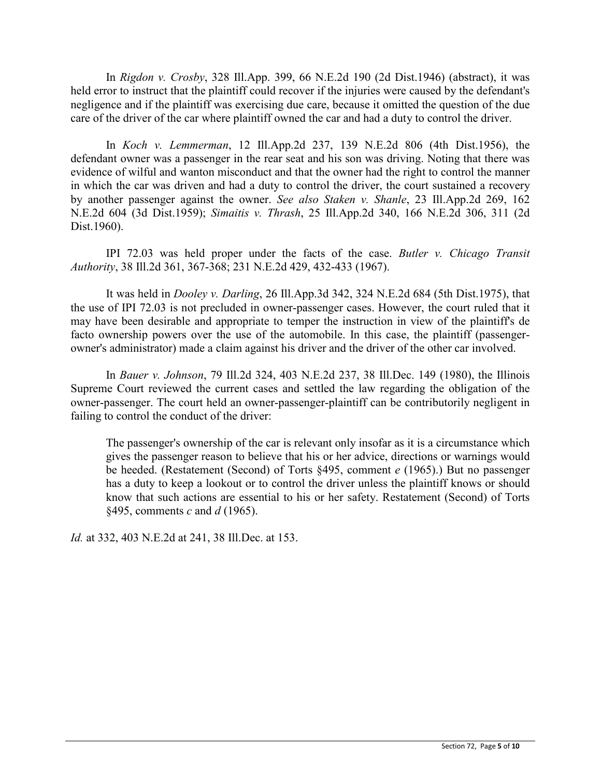In *Rigdon v. Crosby*, 328 Ill.App. 399, 66 N.E.2d 190 (2d Dist.1946) (abstract), it was held error to instruct that the plaintiff could recover if the injuries were caused by the defendant's negligence and if the plaintiff was exercising due care, because it omitted the question of the due care of the driver of the car where plaintiff owned the car and had a duty to control the driver.

In *Koch v. Lemmerman*, 12 Ill.App.2d 237, 139 N.E.2d 806 (4th Dist.1956), the defendant owner was a passenger in the rear seat and his son was driving. Noting that there was evidence of wilful and wanton misconduct and that the owner had the right to control the manner in which the car was driven and had a duty to control the driver, the court sustained a recovery by another passenger against the owner. *See also Staken v. Shanle*, 23 Ill.App.2d 269, 162 N.E.2d 604 (3d Dist.1959); *Simaitis v. Thrash*, 25 Ill.App.2d 340, 166 N.E.2d 306, 311 (2d Dist.1960).

IPI 72.03 was held proper under the facts of the case. *Butler v. Chicago Transit Authority*, 38 Ill.2d 361, 367-368; 231 N.E.2d 429, 432-433 (1967).

It was held in *Dooley v. Darling*, 26 Ill.App.3d 342, 324 N.E.2d 684 (5th Dist.1975), that the use of IPI 72.03 is not precluded in owner-passenger cases. However, the court ruled that it may have been desirable and appropriate to temper the instruction in view of the plaintiff's de facto ownership powers over the use of the automobile. In this case, the plaintiff (passengerowner's administrator) made a claim against his driver and the driver of the other car involved.

In *Bauer v. Johnson*, 79 Ill.2d 324, 403 N.E.2d 237, 38 Ill.Dec. 149 (1980), the Illinois Supreme Court reviewed the current cases and settled the law regarding the obligation of the owner-passenger. The court held an owner-passenger-plaintiff can be contributorily negligent in failing to control the conduct of the driver:

The passenger's ownership of the car is relevant only insofar as it is a circumstance which gives the passenger reason to believe that his or her advice, directions or warnings would be heeded. (Restatement (Second) of Torts §495, comment *e* (1965).) But no passenger has a duty to keep a lookout or to control the driver unless the plaintiff knows or should know that such actions are essential to his or her safety. Restatement (Second) of Torts §495, comments *c* and *d* (1965).

*Id.* at 332, 403 N.E.2d at 241, 38 Ill.Dec. at 153.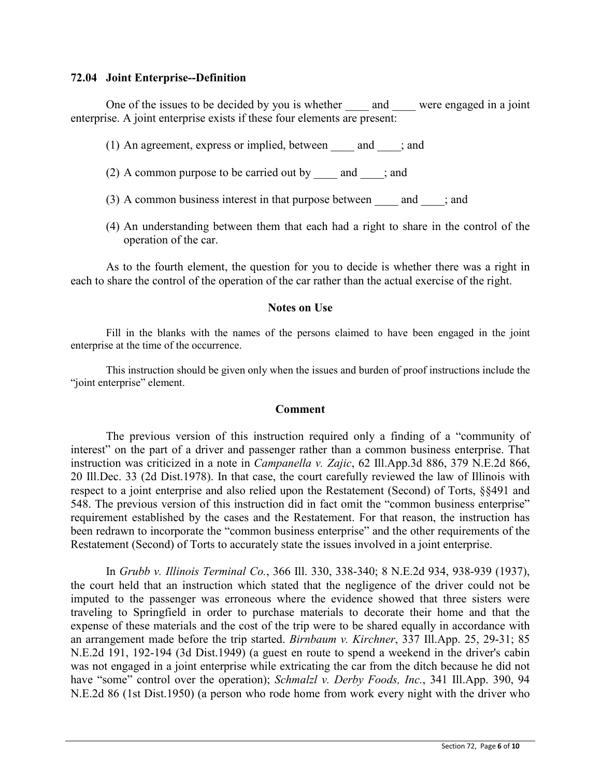#### **72.04 Joint Enterprise--Definition**

One of the issues to be decided by you is whether and were engaged in a joint enterprise. A joint enterprise exists if these four elements are present:

- (1) An agreement, express or implied, between  $\qquad$  and  $\qquad$ ; and
- (2) A common purpose to be carried out by  $\qquad$  and  $\qquad$ ; and
- (3) A common business interest in that purpose between  $\qquad$  and  $\qquad$ ; and
- (4) An understanding between them that each had a right to share in the control of the operation of the car.

As to the fourth element, the question for you to decide is whether there was a right in each to share the control of the operation of the car rather than the actual exercise of the right.

#### **Notes on Use**

Fill in the blanks with the names of the persons claimed to have been engaged in the joint enterprise at the time of the occurrence.

This instruction should be given only when the issues and burden of proof instructions include the "joint enterprise" element.

#### **Comment**

The previous version of this instruction required only a finding of a "community of interest" on the part of a driver and passenger rather than a common business enterprise. That instruction was criticized in a note in *Campanella v. Zajic*, 62 Ill.App.3d 886, 379 N.E.2d 866, 20 Ill.Dec. 33 (2d Dist.1978). In that case, the court carefully reviewed the law of Illinois with respect to a joint enterprise and also relied upon the Restatement (Second) of Torts, §§491 and 548. The previous version of this instruction did in fact omit the "common business enterprise" requirement established by the cases and the Restatement. For that reason, the instruction has been redrawn to incorporate the "common business enterprise" and the other requirements of the Restatement (Second) of Torts to accurately state the issues involved in a joint enterprise.

In *Grubb v. Illinois Terminal Co.*, 366 Ill. 330, 338-340; 8 N.E.2d 934, 938-939 (1937), the court held that an instruction which stated that the negligence of the driver could not be imputed to the passenger was erroneous where the evidence showed that three sisters were traveling to Springfield in order to purchase materials to decorate their home and that the expense of these materials and the cost of the trip were to be shared equally in accordance with an arrangement made before the trip started. *Birnbaum v. Kirchner*, 337 Ill.App. 25, 29-31; 85 N.E.2d 191, 192-194 (3d Dist.1949) (a guest en route to spend a weekend in the driver's cabin was not engaged in a joint enterprise while extricating the car from the ditch because he did not have "some" control over the operation); *Schmalzl v. Derby Foods, Inc.*, 341 Ill.App. 390, 94 N.E.2d 86 (1st Dist.1950) (a person who rode home from work every night with the driver who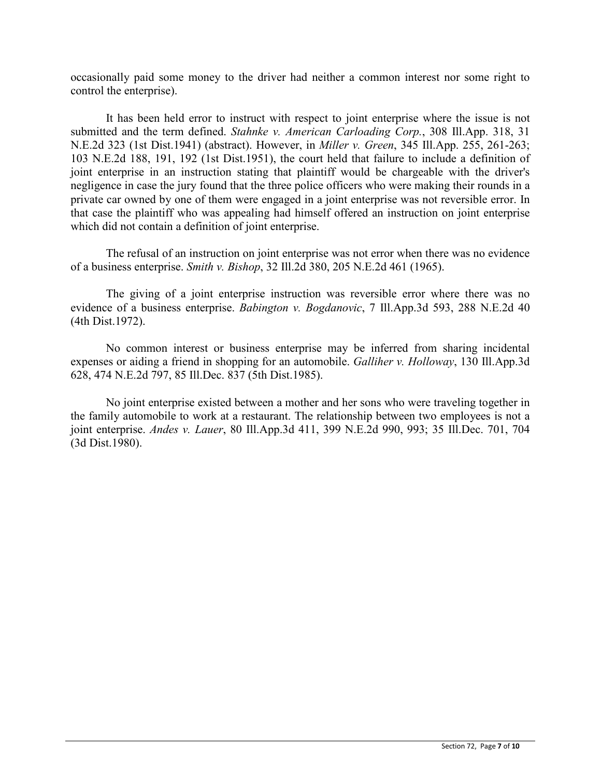occasionally paid some money to the driver had neither a common interest nor some right to control the enterprise).

It has been held error to instruct with respect to joint enterprise where the issue is not submitted and the term defined. *Stahnke v. American Carloading Corp.*, 308 Ill.App. 318, 31 N.E.2d 323 (1st Dist.1941) (abstract). However, in *Miller v. Green*, 345 Ill.App. 255, 261-263; 103 N.E.2d 188, 191, 192 (1st Dist.1951), the court held that failure to include a definition of joint enterprise in an instruction stating that plaintiff would be chargeable with the driver's negligence in case the jury found that the three police officers who were making their rounds in a private car owned by one of them were engaged in a joint enterprise was not reversible error. In that case the plaintiff who was appealing had himself offered an instruction on joint enterprise which did not contain a definition of joint enterprise.

The refusal of an instruction on joint enterprise was not error when there was no evidence of a business enterprise. *Smith v. Bishop*, 32 Ill.2d 380, 205 N.E.2d 461 (1965).

The giving of a joint enterprise instruction was reversible error where there was no evidence of a business enterprise. *Babington v. Bogdanovic*, 7 Ill.App.3d 593, 288 N.E.2d 40 (4th Dist.1972).

No common interest or business enterprise may be inferred from sharing incidental expenses or aiding a friend in shopping for an automobile. *Galliher v. Holloway*, 130 Ill.App.3d 628, 474 N.E.2d 797, 85 Ill.Dec. 837 (5th Dist.1985).

No joint enterprise existed between a mother and her sons who were traveling together in the family automobile to work at a restaurant. The relationship between two employees is not a joint enterprise. *Andes v. Lauer*, 80 Ill.App.3d 411, 399 N.E.2d 990, 993; 35 Ill.Dec. 701, 704 (3d Dist.1980).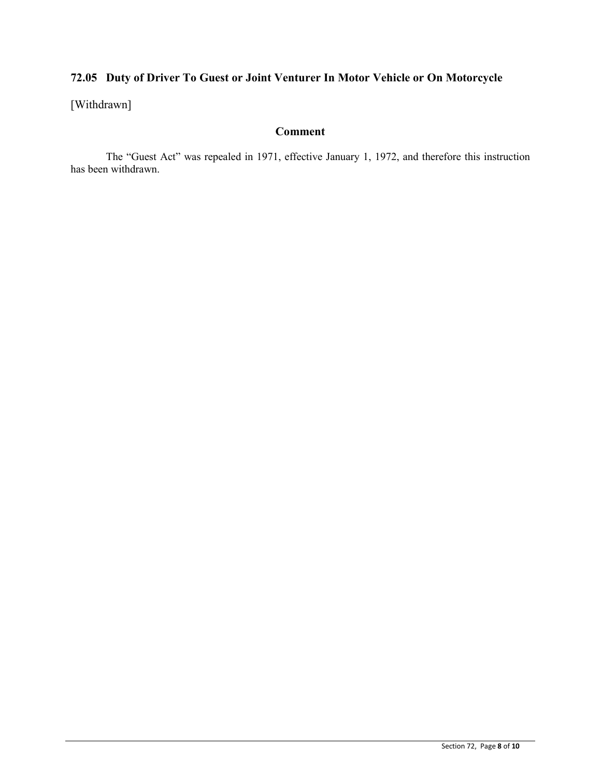# **72.05 Duty of Driver To Guest or Joint Venturer In Motor Vehicle or On Motorcycle**

[Withdrawn]

### **Comment**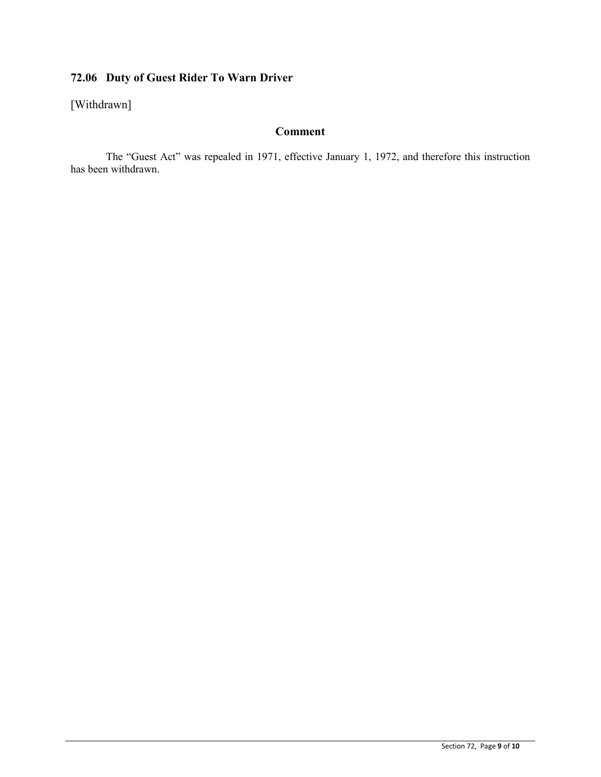# **72.06 Duty of Guest Rider To Warn Driver**

[Withdrawn]

### **Comment**